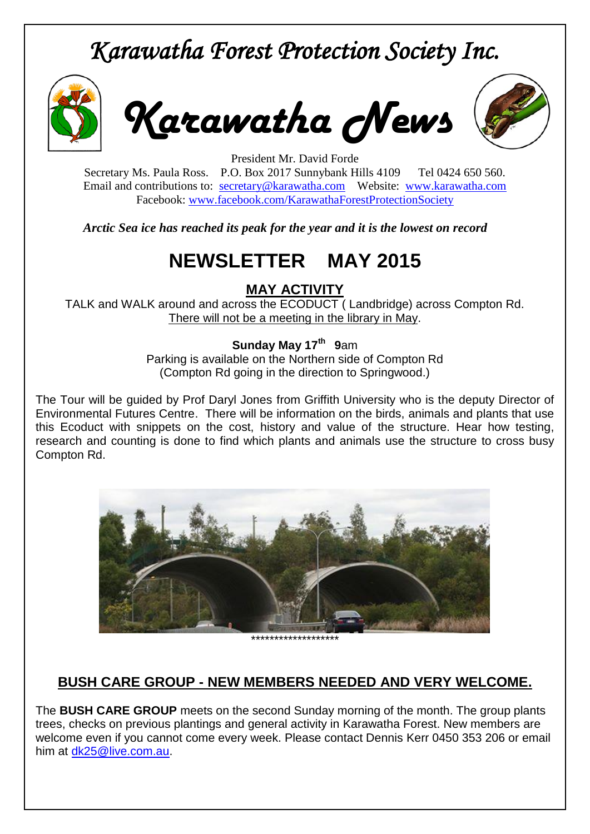# *Karawatha Forest Protection Society Inc.*



*Karawatha News*



President Mr. David Forde Secretary Ms. Paula Ross. P.O. Box 2017 Sunnybank Hills 4109 Tel 0424 650 560. Email and contributions to: [secretary@karawatha.com](mailto:secretary@karawatha.com) Website: [www.karawatha.com](http://www.karawatha.com/) Facebook: [www.facebook.com/KarawathaForestProtectionSociety](http://www.facebook.com/KarawathaForestProtectionSociety)

*Arctic Sea ice has reached its peak for the year and it is the lowest on record*

# **NEWSLETTER MAY 2015**

#### **MAY ACTIVITY**

TALK and WALK around and across the ECODUCT ( Landbridge) across Compton Rd. There will not be a meeting in the library in May.

#### **Sunday May 17<sup>th</sup> 9**am

Parking is available on the Northern side of Compton Rd (Compton Rd going in the direction to Springwood.)

The Tour will be guided by Prof Daryl Jones from Griffith University who is the deputy Director of Environmental Futures Centre. There will be information on the birds, animals and plants that use this Ecoduct with snippets on the cost, history and value of the structure. Hear how testing, research and counting is done to find which plants and animals use the structure to cross busy Compton Rd.



## **BUSH CARE GROUP - NEW MEMBERS NEEDED AND VERY WELCOME.**

The **BUSH CARE GROUP** meets on the second Sunday morning of the month. The group plants trees, checks on previous plantings and general activity in Karawatha Forest. New members are welcome even if you cannot come every week. Please contact Dennis Kerr 0450 353 206 or email him at [dk25@live.com.au.](mailto:dk25@live.com.au)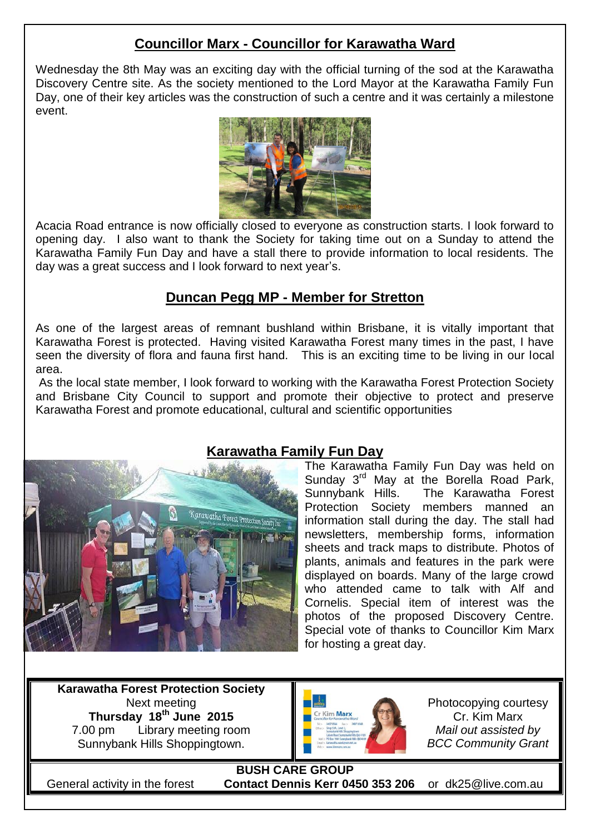### **Councillor Marx - Councillor for Karawatha Ward**

Wednesday the 8th May was an exciting day with the official turning of the sod at the Karawatha Discovery Centre site. As the society mentioned to the Lord Mayor at the Karawatha Family Fun Day, one of their key articles was the construction of such a centre and it was certainly a milestone event.



Acacia Road entrance is now officially closed to everyone as construction starts. I look forward to opening day. I also want to thank the Society for taking time out on a Sunday to attend the Karawatha Family Fun Day and have a stall there to provide information to local residents. The day was a great success and I look forward to next year's.

#### **Duncan Pegg MP - Member for Stretton**

As one of the largest areas of remnant bushland within Brisbane, it is vitally important that Karawatha Forest is protected. Having visited Karawatha Forest many times in the past, I have seen the diversity of flora and fauna first hand. This is an exciting time to be living in our local area.

As the local state member, I look forward to working with the Karawatha Forest Protection Society and Brisbane City Council to support and promote their objective to protect and preserve Karawatha Forest and promote educational, cultural and scientific opportunities



### **Karawatha Family Fun Day**

The Karawatha Family Fun Day was held on Sunday 3<sup>rd</sup> May at the Borella Road Park, Sunnybank Hills. The Karawatha Forest Protection Society members manned an information stall during the day. The stall had newsletters, membership forms, information sheets and track maps to distribute. Photos of plants, animals and features in the park were displayed on boards. Many of the large crowd who attended came to talk with Alf and Cornelis. Special item of interest was the photos of the proposed Discovery Centre. Special vote of thanks to Councillor Kim Marx for hosting a great day.

**Karawatha Forest Protection Society** Next meeting **Thursday 18 th June 2015** 7.00 pm Library meeting room Sunnybank Hills Shoppingtown.



Photocopying courtesy Cr. Kim Marx *Mail out assisted by BCC Community Grant*

**BUSH CARE GROUP** General activity in the forest **Contact Dennis Kerr 0450 353 206** or dk25@live.com.au